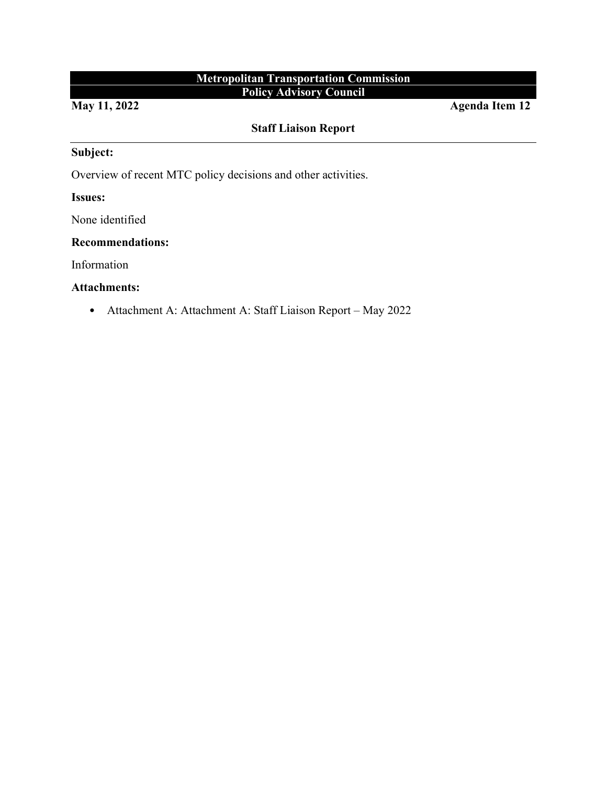# **Metropolitan Transportation Commission Policy Advisory Council**

**May 11, 2022** Agenda Item 12

# **Staff Liaison Report**

## **Subject:**

Overview of recent MTC policy decisions and other activities.

## **Issues:**

None identified

#### **Recommendations:**

Information

### **Attachments:**

• Attachment A: Attachment A: Staff Liaison Report – May 2022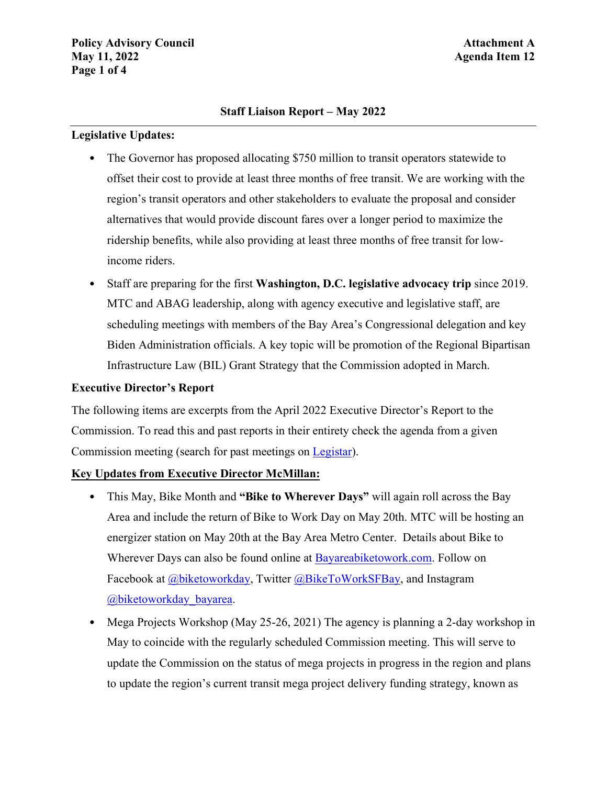### **Staff Liaison Report – May 2022**

#### **Legislative Updates:**

- The Governor has proposed allocating \$750 million to transit operators statewide to offset their cost to provide at least three months of free transit. We are working with the region's transit operators and other stakeholders to evaluate the proposal and consider alternatives that would provide discount fares over a longer period to maximize the ridership benefits, while also providing at least three months of free transit for lowincome riders.
- Staff are preparing for the first **Washington, D.C. legislative advocacy trip** since 2019. MTC and ABAG leadership, along with agency executive and legislative staff, are scheduling meetings with members of the Bay Area's Congressional delegation and key Biden Administration officials. A key topic will be promotion of the Regional Bipartisan Infrastructure Law (BIL) Grant Strategy that the Commission adopted in March.

## **Executive Director's Report**

The following items are excerpts from the April 2022 Executive Director's Report to the Commission. To read this and past reports in their entirety check the agenda from a given Commission meeting (search for past meetings on [Legistar\)](https://mtc.legistar.com/Calendar.aspx).

## **Key Updates from Executive Director McMillan:**

- This May, Bike Month and **"Bike to Wherever Days"** will again roll across the Bay Area and include the return of Bike to Work Day on May 20th. MTC will be hosting an energizer station on May 20th at the Bay Area Metro Center. Details about Bike to Wherever Days can also be found online at [Bayareabiketowork.com.](http://www.bayareabiketowork.com/) Follow on Facebook at [@biketoworkday,](https://www.facebook.com/biketoworkday) Twitter [@BikeToWorkSFBay,](https://twitter.com/biketoworksfbay) and Instagram [@biketoworkday\\_bayarea.](https://www.instagram.com/biketoworkday_bayarea/)
- Mega Projects Workshop (May 25-26, 2021) The agency is planning a 2-day workshop in May to coincide with the regularly scheduled Commission meeting. This will serve to update the Commission on the status of mega projects in progress in the region and plans to update the region's current transit mega project delivery funding strategy, known as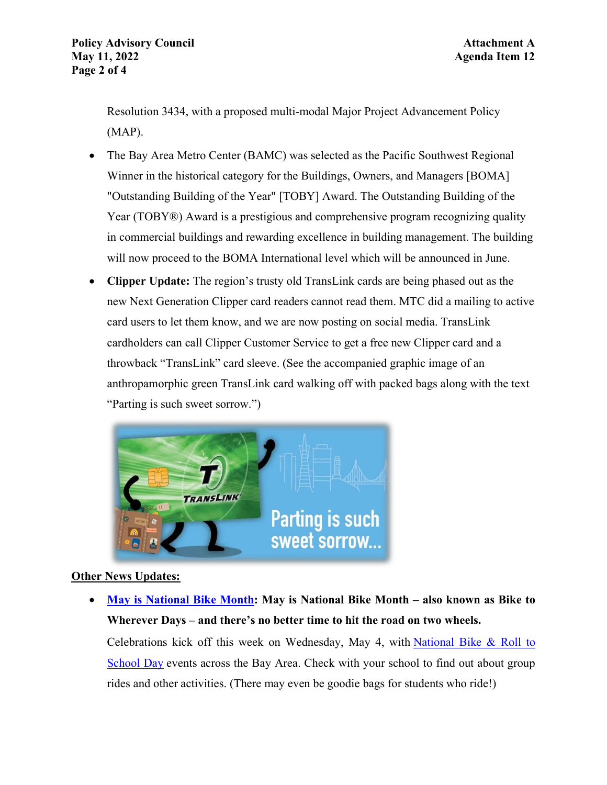Resolution 3434, with a proposed multi-modal Major Project Advancement Policy (MAP).

- The Bay Area Metro Center (BAMC) was selected as the Pacific Southwest Regional Winner in the historical category for the Buildings, Owners, and Managers [BOMA] "Outstanding Building of the Year" [TOBY] Award. The Outstanding Building of the Year (TOBY<sup>®</sup>) Award is a prestigious and comprehensive program recognizing quality in commercial buildings and rewarding excellence in building management. The building will now proceed to the BOMA International level which will be announced in June.
- **Clipper Update:** The region's trusty old TransLink cards are being phased out as the new Next Generation Clipper card readers cannot read them. MTC did a mailing to active card users to let them know, and we are now posting on social media. TransLink cardholders can call Clipper Customer Service to get a free new Clipper card and a throwback "TransLink" card sleeve. (See the accompanied graphic image of an anthropamorphic green TransLink card walking off with packed bags along with the text "Parting is such sweet sorrow.")



## **Other News Updates:**

• **[May is National Bike Month:](mailto:https://mtc.ca.gov/news/may-national-bike-month) May is National Bike Month – also known as Bike to Wherever Days – and there's no better time to hit the road on two wheels.**

Celebrations kick off this week on Wednesday, May 4, with [National Bike & Roll to](https://www.walkbiketoschool.org/) [School Day](https://www.walkbiketoschool.org/) events across the Bay Area. Check with your school to find out about group rides and other activities. (There may even be goodie bags for students who ride!)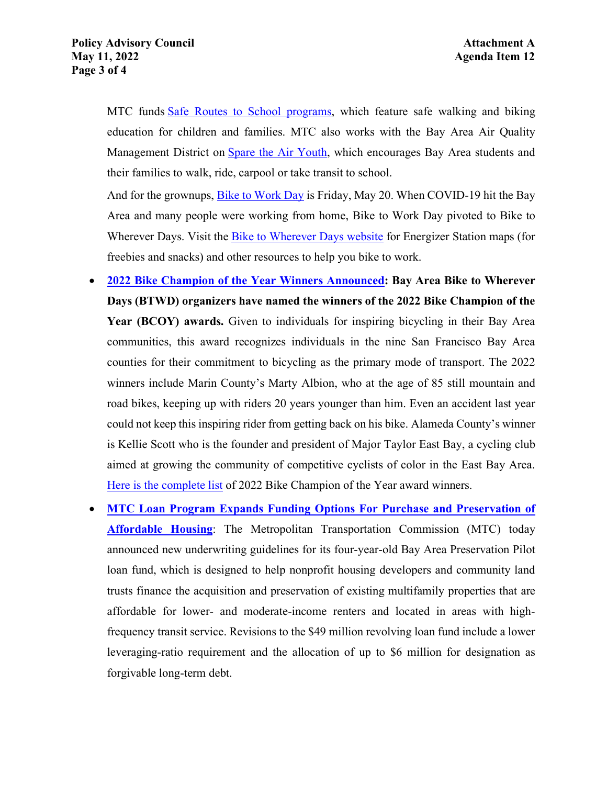MTC funds Safe Routes [to School programs,](https://mtc.ca.gov/funding/investment-strategies-commitments/climate-protection/bay-area-safe-routes-school) which feature safe walking and biking education for children and families. MTC also works with the Bay Area Air Quality Management District on [Spare the Air Youth,](https://sparetheairyouth.org/) which encourages Bay Area students and their families to walk, ride, carpool or take transit to school.

And for the grownups, [Bike to Work Day](https://mtc.ca.gov/planning/transportation/bicycle-pedestrian-micromobility/bike-work-day) is Friday, May 20. When COVID-19 hit the Bay Area and many people were working from home, Bike to Work Day pivoted to Bike to Wherever Days. Visit the [Bike to Wherever Days website](https://bayareabiketowork.com/) for Energizer Station maps (for freebies and snacks) and other resources to help you bike to work.

- **[2022 Bike Champion of the Year Winners Announced:](mailto:https://mtc.ca.gov/news/2022-bike-champion-year-winners-announced) Bay Area Bike to Wherever Days (BTWD) organizers have named the winners of the 2022 Bike Champion of the Year (BCOY) awards.** Given to individuals for inspiring bicycling in their Bay Area communities, this award recognizes individuals in the nine San Francisco Bay Area counties for their commitment to bicycling as the primary mode of transport. The 2022 winners include Marin County's Marty Albion, who at the age of 85 still mountain and road bikes, keeping up with riders 20 years younger than him. Even an accident last year could not keep this inspiring rider from getting back on his bike. Alameda County's winner is Kellie Scott who is the founder and president of Major Taylor East Bay, a cycling club aimed at growing the community of competitive cyclists of color in the East Bay Area. [Here is the complete list](https://bayareabiketowork.com/bike-champions-of-the-year-2022) of 2022 Bike Champion of the Year award winners.
- **[MTC Loan Program Expands Funding Options For Purchase and Preservation of](mailto:https://mtc.ca.gov/news/mtc-loan-program-expands-funding-options-purchase-and-preservation-affordable-housing) [Affordable Housing](mailto:https://mtc.ca.gov/news/mtc-loan-program-expands-funding-options-purchase-and-preservation-affordable-housing)**: The Metropolitan Transportation Commission (MTC) today announced new underwriting guidelines for its four-year-old Bay Area Preservation Pilot loan fund, which is designed to help nonprofit housing developers and community land trusts finance the acquisition and preservation of existing multifamily properties that are affordable for lower- and moderate-income renters and located in areas with highfrequency transit service. Revisions to the \$49 million revolving loan fund include a lower leveraging-ratio requirement and the allocation of up to \$6 million for designation as forgivable long-term debt.